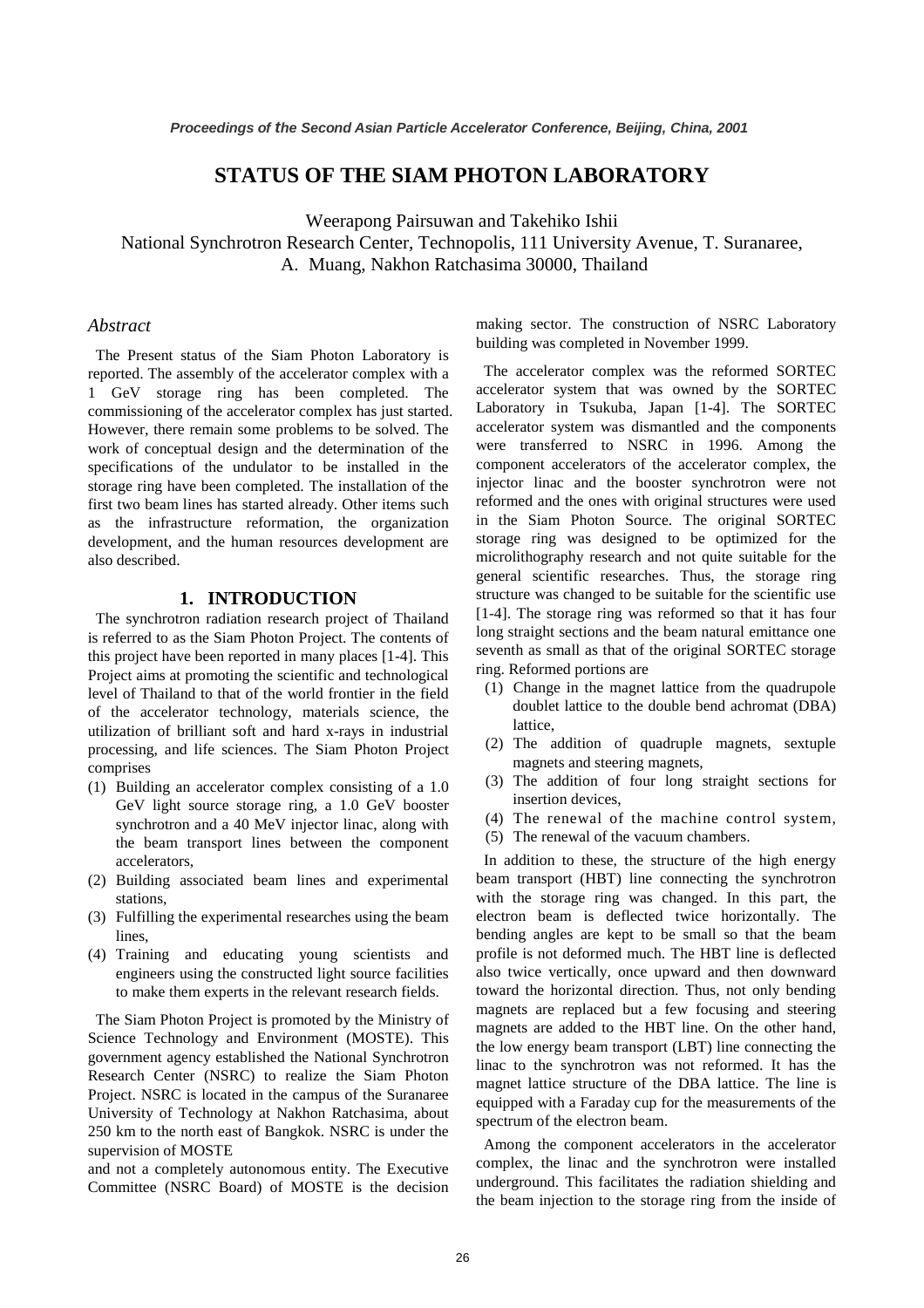## **STATUS OF THE SIAM PHOTON LABORATORY**

Weerapong Pairsuwan and Takehiko Ishii National Synchrotron Research Center, Technopolis, 111 University Avenue, T. Suranaree, A. Muang, Nakhon Ratchasima 30000, Thailand

#### *Abstract*

The Present status of the Siam Photon Laboratory is reported. The assembly of the accelerator complex with a 1 GeV storage ring has been completed. The commissioning of the accelerator complex has just started. However, there remain some problems to be solved. The work of conceptual design and the determination of the specifications of the undulator to be installed in the storage ring have been completed. The installation of the first two beam lines has started already. Other items such as the infrastructure reformation, the organization development, and the human resources development are also described.

#### **1. INTRODUCTION**

The synchrotron radiation research project of Thailand is referred to as the Siam Photon Project. The contents of this project have been reported in many places [1-4]. This Project aims at promoting the scientific and technological level of Thailand to that of the world frontier in the field of the accelerator technology, materials science, the utilization of brilliant soft and hard x-rays in industrial processing, and life sciences. The Siam Photon Project comprises

- (1) Building an accelerator complex consisting of a 1.0 GeV light source storage ring, a 1.0 GeV booster synchrotron and a 40 MeV injector linac, along with the beam transport lines between the component accelerators,
- (2) Building associated beam lines and experimental stations,
- (3) Fulfilling the experimental researches using the beam lines,
- (4) Training and educating young scientists and engineers using the constructed light source facilities to make them experts in the relevant research fields.

The Siam Photon Project is promoted by the Ministry of Science Technology and Environment (MOSTE). This government agency established the National Synchrotron Research Center (NSRC) to realize the Siam Photon Project. NSRC is located in the campus of the Suranaree University of Technology at Nakhon Ratchasima, about 250 km to the north east of Bangkok. NSRC is under the supervision of MOSTE

and not a completely autonomous entity. The Executive Committee (NSRC Board) of MOSTE is the decision making sector. The construction of NSRC Laboratory building was completed in November 1999.

The accelerator complex was the reformed SORTEC accelerator system that was owned by the SORTEC Laboratory in Tsukuba, Japan [1-4]. The SORTEC accelerator system was dismantled and the components were transferred to NSRC in 1996. Among the component accelerators of the accelerator complex, the injector linac and the booster synchrotron were not reformed and the ones with original structures were used in the Siam Photon Source. The original SORTEC storage ring was designed to be optimized for the microlithography research and not quite suitable for the general scientific researches. Thus, the storage ring structure was changed to be suitable for the scientific use [1-4]. The storage ring was reformed so that it has four long straight sections and the beam natural emittance one seventh as small as that of the original SORTEC storage ring. Reformed portions are

- (1) Change in the magnet lattice from the quadrupole doublet lattice to the double bend achromat (DBA) lattice,
- (2) The addition of quadruple magnets, sextuple magnets and steering magnets,
- (3) The addition of four long straight sections for insertion devices,
- (4) The renewal of the machine control system,
- (5) The renewal of the vacuum chambers.

In addition to these, the structure of the high energy beam transport (HBT) line connecting the synchrotron with the storage ring was changed. In this part, the electron beam is deflected twice horizontally. The bending angles are kept to be small so that the beam profile is not deformed much. The HBT line is deflected also twice vertically, once upward and then downward toward the horizontal direction. Thus, not only bending magnets are replaced but a few focusing and steering magnets are added to the HBT line. On the other hand, the low energy beam transport (LBT) line connecting the linac to the synchrotron was not reformed. It has the magnet lattice structure of the DBA lattice. The line is equipped with a Faraday cup for the measurements of the spectrum of the electron beam.

Among the component accelerators in the accelerator complex, the linac and the synchrotron were installed underground. This facilitates the radiation shielding and the beam injection to the storage ring from the inside of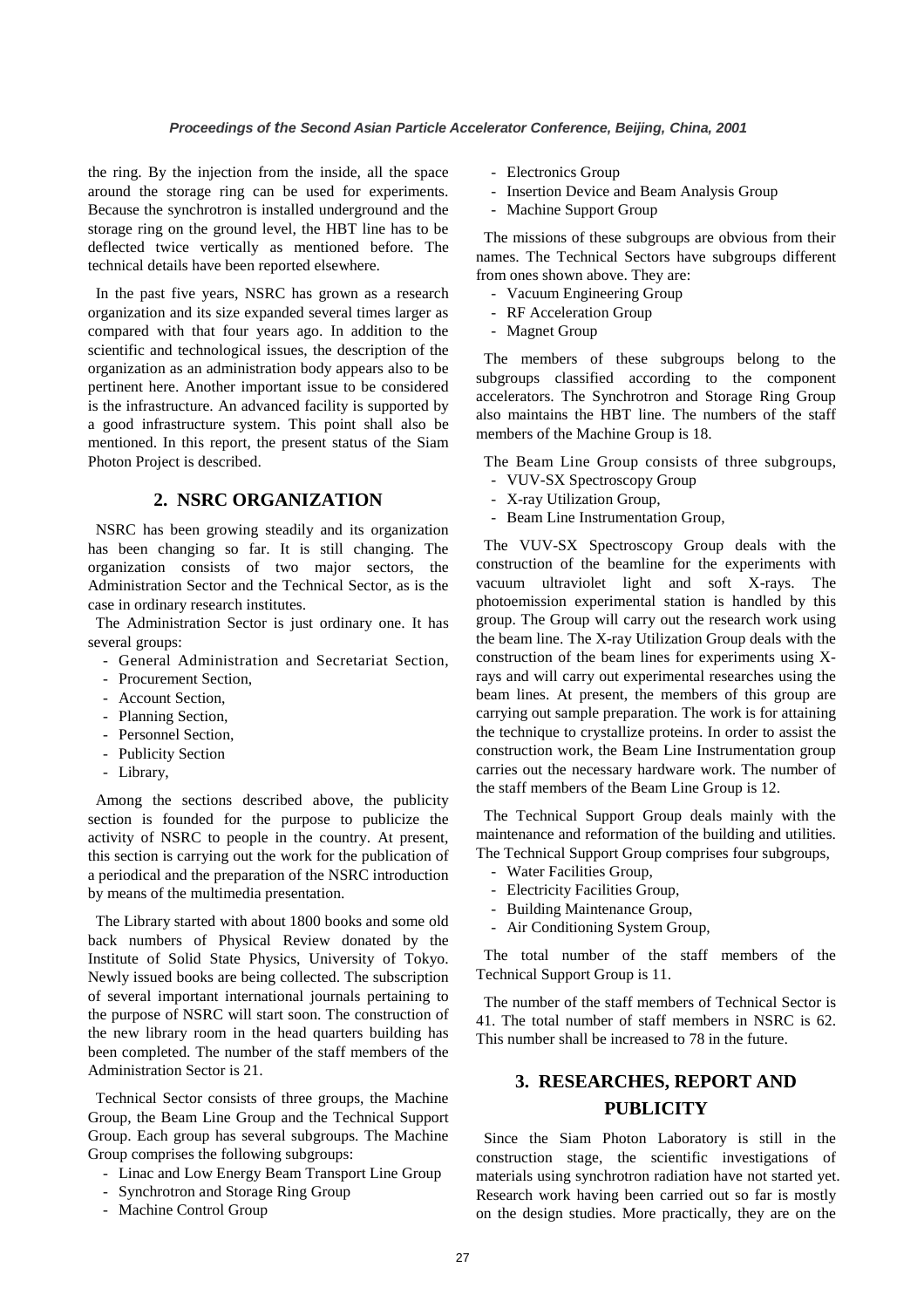the ring. By the injection from the inside, all the space around the storage ring can be used for experiments. Because the synchrotron is installed underground and the storage ring on the ground level, the HBT line has to be deflected twice vertically as mentioned before. The technical details have been reported elsewhere.

In the past five years, NSRC has grown as a research organization and its size expanded several times larger as compared with that four years ago. In addition to the scientific and technological issues, the description of the organization as an administration body appears also to be pertinent here. Another important issue to be considered is the infrastructure. An advanced facility is supported by a good infrastructure system. This point shall also be mentioned. In this report, the present status of the Siam Photon Project is described.

## **2. NSRC ORGANIZATION**

NSRC has been growing steadily and its organization has been changing so far. It is still changing. The organization consists of two major sectors, the Administration Sector and the Technical Sector, as is the case in ordinary research institutes.

The Administration Sector is just ordinary one. It has several groups:

- General Administration and Secretariat Section,
- Procurement Section,
- Account Section,
- Planning Section,
- Personnel Section,
- Publicity Section
- Library,

Among the sections described above, the publicity section is founded for the purpose to publicize the activity of NSRC to people in the country. At present, this section is carrying out the work for the publication of a periodical and the preparation of the NSRC introduction by means of the multimedia presentation.

The Library started with about 1800 books and some old back numbers of Physical Review donated by the Institute of Solid State Physics, University of Tokyo. Newly issued books are being collected. The subscription of several important international journals pertaining to the purpose of NSRC will start soon. The construction of the new library room in the head quarters building has been completed. The number of the staff members of the Administration Sector is 21.

Technical Sector consists of three groups, the Machine Group, the Beam Line Group and the Technical Support Group. Each group has several subgroups. The Machine Group comprises the following subgroups:

- Linac and Low Energy Beam Transport Line Group
- Synchrotron and Storage Ring Group
- Machine Control Group
- Electronics Group
- Insertion Device and Beam Analysis Group
- Machine Support Group

The missions of these subgroups are obvious from their names. The Technical Sectors have subgroups different from ones shown above. They are:

- Vacuum Engineering Group
- RF Acceleration Group
- Magnet Group

The members of these subgroups belong to the subgroups classified according to the component accelerators. The Synchrotron and Storage Ring Group also maintains the HBT line. The numbers of the staff members of the Machine Group is 18.

The Beam Line Group consists of three subgroups,

- VUV-SX Spectroscopy Group
- X-ray Utilization Group,
- Beam Line Instrumentation Group,

The VUV-SX Spectroscopy Group deals with the construction of the beamline for the experiments with vacuum ultraviolet light and soft X-rays. The photoemission experimental station is handled by this group. The Group will carry out the research work using the beam line. The X-ray Utilization Group deals with the construction of the beam lines for experiments using Xrays and will carry out experimental researches using the beam lines. At present, the members of this group are carrying out sample preparation. The work is for attaining the technique to crystallize proteins. In order to assist the construction work, the Beam Line Instrumentation group carries out the necessary hardware work. The number of the staff members of the Beam Line Group is 12.

The Technical Support Group deals mainly with the maintenance and reformation of the building and utilities. The Technical Support Group comprises four subgroups,

- Water Facilities Group,
- Electricity Facilities Group,
- Building Maintenance Group,
- Air Conditioning System Group,

The total number of the staff members of the Technical Support Group is 11.

The number of the staff members of Technical Sector is 41. The total number of staff members in NSRC is 62. This number shall be increased to 78 in the future.

## **3. RESEARCHES, REPORT AND PUBLICITY**

Since the Siam Photon Laboratory is still in the construction stage, the scientific investigations of materials using synchrotron radiation have not started yet. Research work having been carried out so far is mostly on the design studies. More practically, they are on the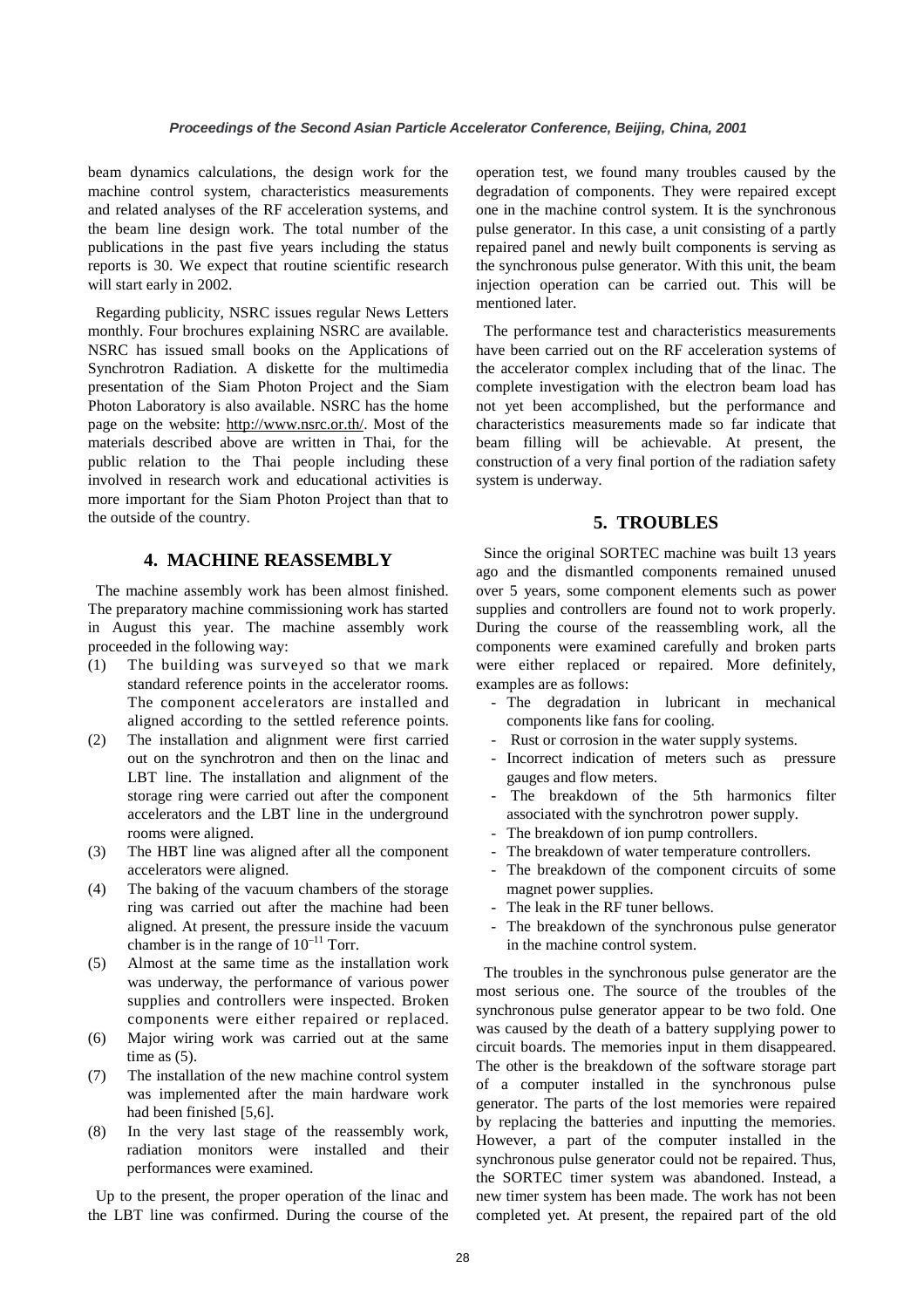beam dynamics calculations, the design work for the machine control system, characteristics measurements and related analyses of the RF acceleration systems, and the beam line design work. The total number of the publications in the past five years including the status reports is 30. We expect that routine scientific research will start early in 2002.

Regarding publicity, NSRC issues regular News Letters monthly. Four brochures explaining NSRC are available. NSRC has issued small books on the Applications of Synchrotron Radiation. A diskette for the multimedia presentation of the Siam Photon Project and the Siam Photon Laboratory is also available. NSRC has the home page on the website: http://www.nsrc.or.th/. Most of the materials described above are written in Thai, for the public relation to the Thai people including these involved in research work and educational activities is more important for the Siam Photon Project than that to the outside of the country.

#### **4. MACHINE REASSEMBLY**

The machine assembly work has been almost finished. The preparatory machine commissioning work has started in August this year. The machine assembly work proceeded in the following way:

- (1) The building was surveyed so that we mark standard reference points in the accelerator rooms. The component accelerators are installed and aligned according to the settled reference points.
- (2) The installation and alignment were first carried out on the synchrotron and then on the linac and LBT line. The installation and alignment of the storage ring were carried out after the component accelerators and the LBT line in the underground rooms were aligned.
- (3) The HBT line was aligned after all the component accelerators were aligned.
- (4) The baking of the vacuum chambers of the storage ring was carried out after the machine had been aligned. At present, the pressure inside the vacuum chamber is in the range of  $10^{-11}$  Torr.
- (5) Almost at the same time as the installation work was underway, the performance of various power supplies and controllers were inspected. Broken components were either repaired or replaced.
- (6) Major wiring work was carried out at the same time as (5).
- (7) The installation of the new machine control system was implemented after the main hardware work had been finished [5,6].
- (8) In the very last stage of the reassembly work, radiation monitors were installed and their performances were examined.

Up to the present, the proper operation of the linac and the LBT line was confirmed. During the course of the operation test, we found many troubles caused by the degradation of components. They were repaired except one in the machine control system. It is the synchronous pulse generator. In this case, a unit consisting of a partly repaired panel and newly built components is serving as the synchronous pulse generator. With this unit, the beam injection operation can be carried out. This will be mentioned later.

The performance test and characteristics measurements have been carried out on the RF acceleration systems of the accelerator complex including that of the linac. The complete investigation with the electron beam load has not yet been accomplished, but the performance and characteristics measurements made so far indicate that beam filling will be achievable. At present, the construction of a very final portion of the radiation safety system is underway.

#### **5. TROUBLES**

Since the original SORTEC machine was built 13 years ago and the dismantled components remained unused over 5 years, some component elements such as power supplies and controllers are found not to work properly. During the course of the reassembling work, all the components were examined carefully and broken parts were either replaced or repaired. More definitely, examples are as follows:

- The degradation in lubricant in mechanical components like fans for cooling.
- Rust or corrosion in the water supply systems.
- Incorrect indication of meters such as pressure gauges and flow meters.
- The breakdown of the 5th harmonics filter associated with the synchrotron power supply.
- The breakdown of ion pump controllers.
- The breakdown of water temperature controllers.
- The breakdown of the component circuits of some magnet power supplies.
- The leak in the RF tuner bellows.
- The breakdown of the synchronous pulse generator in the machine control system.

The troubles in the synchronous pulse generator are the most serious one. The source of the troubles of the synchronous pulse generator appear to be two fold. One was caused by the death of a battery supplying power to circuit boards. The memories input in them disappeared. The other is the breakdown of the software storage part of a computer installed in the synchronous pulse generator. The parts of the lost memories were repaired by replacing the batteries and inputting the memories. However, a part of the computer installed in the synchronous pulse generator could not be repaired. Thus, the SORTEC timer system was abandoned. Instead, a new timer system has been made. The work has not been completed yet. At present, the repaired part of the old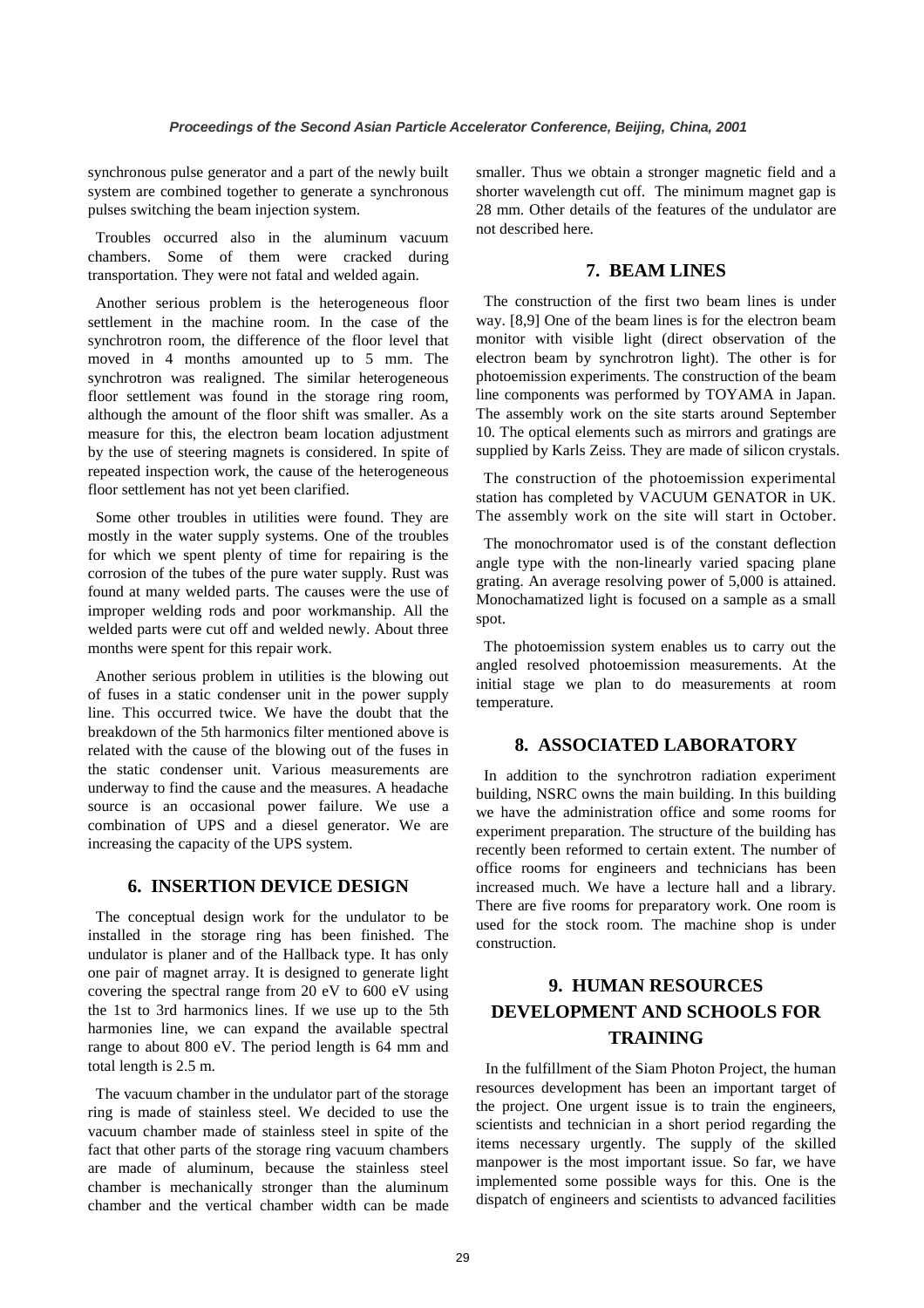synchronous pulse generator and a part of the newly built system are combined together to generate a synchronous pulses switching the beam injection system.

Troubles occurred also in the aluminum vacuum chambers. Some of them were cracked during transportation. They were not fatal and welded again.

Another serious problem is the heterogeneous floor settlement in the machine room. In the case of the synchrotron room, the difference of the floor level that moved in 4 months amounted up to 5 mm. The synchrotron was realigned. The similar heterogeneous floor settlement was found in the storage ring room, although the amount of the floor shift was smaller. As a measure for this, the electron beam location adjustment by the use of steering magnets is considered. In spite of repeated inspection work, the cause of the heterogeneous floor settlement has not yet been clarified.

Some other troubles in utilities were found. They are mostly in the water supply systems. One of the troubles for which we spent plenty of time for repairing is the corrosion of the tubes of the pure water supply. Rust was found at many welded parts. The causes were the use of improper welding rods and poor workmanship. All the welded parts were cut off and welded newly. About three months were spent for this repair work.

Another serious problem in utilities is the blowing out of fuses in a static condenser unit in the power supply line. This occurred twice. We have the doubt that the breakdown of the 5th harmonics filter mentioned above is related with the cause of the blowing out of the fuses in the static condenser unit. Various measurements are underway to find the cause and the measures. A headache source is an occasional power failure. We use a combination of UPS and a diesel generator. We are increasing the capacity of the UPS system.

#### **6. INSERTION DEVICE DESIGN**

The conceptual design work for the undulator to be installed in the storage ring has been finished. The undulator is planer and of the Hallback type. It has only one pair of magnet array. It is designed to generate light covering the spectral range from 20 eV to 600 eV using the 1st to 3rd harmonics lines. If we use up to the 5th harmonies line, we can expand the available spectral range to about 800 eV. The period length is 64 mm and total length is 2.5 m.

The vacuum chamber in the undulator part of the storage ring is made of stainless steel. We decided to use the vacuum chamber made of stainless steel in spite of the fact that other parts of the storage ring vacuum chambers are made of aluminum, because the stainless steel chamber is mechanically stronger than the aluminum chamber and the vertical chamber width can be made smaller. Thus we obtain a stronger magnetic field and a shorter wavelength cut off. The minimum magnet gap is 28 mm. Other details of the features of the undulator are not described here.

## **7. BEAM LINES**

The construction of the first two beam lines is under way. [8,9] One of the beam lines is for the electron beam monitor with visible light (direct observation of the electron beam by synchrotron light). The other is for photoemission experiments. The construction of the beam line components was performed by TOYAMA in Japan. The assembly work on the site starts around September 10. The optical elements such as mirrors and gratings are supplied by Karls Zeiss. They are made of silicon crystals.

The construction of the photoemission experimental station has completed by VACUUM GENATOR in UK. The assembly work on the site will start in October.

The monochromator used is of the constant deflection angle type with the non-linearly varied spacing plane grating. An average resolving power of 5,000 is attained. Monochamatized light is focused on a sample as a small spot.

The photoemission system enables us to carry out the angled resolved photoemission measurements. At the initial stage we plan to do measurements at room temperature.

#### **8. ASSOCIATED LABORATORY**

In addition to the synchrotron radiation experiment building, NSRC owns the main building. In this building we have the administration office and some rooms for experiment preparation. The structure of the building has recently been reformed to certain extent. The number of office rooms for engineers and technicians has been increased much. We have a lecture hall and a library. There are five rooms for preparatory work. One room is used for the stock room. The machine shop is under construction.

# **9. HUMAN RESOURCES DEVELOPMENT AND SCHOOLS FOR TRAINING**

In the fulfillment of the Siam Photon Project, the human resources development has been an important target of the project. One urgent issue is to train the engineers, scientists and technician in a short period regarding the items necessary urgently. The supply of the skilled manpower is the most important issue. So far, we have implemented some possible ways for this. One is the dispatch of engineers and scientists to advanced facilities